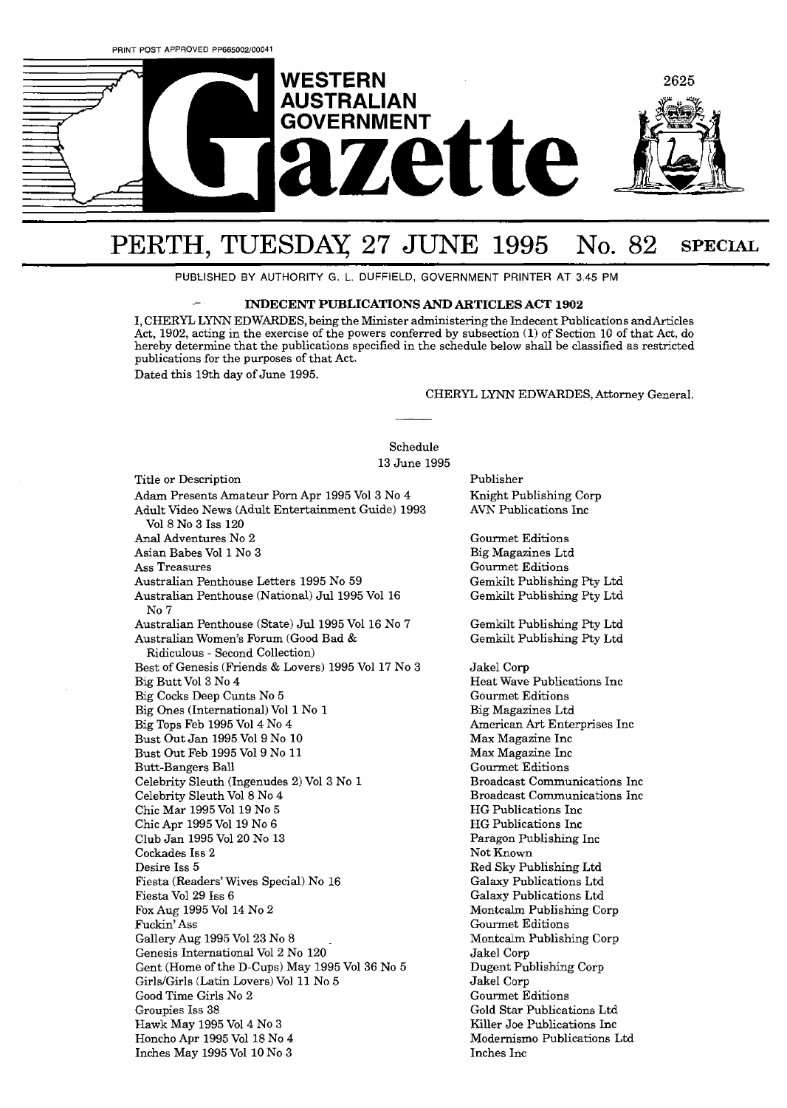

## PERTH, TUESDAY 27 JUNE 1995 No. 82 SPECIAL

PUBLISHED BY AUTHORITY G. L. DUFFIELD, GOVERNMENT PRINTER AT 3.45 **PM** 

## - **INDECENT PUBLICATIONS AND ARTICLES ACT 1902**

I, CHERYL LXNN EDWARDES, being the Minister administering the Indecent Publications andArticles Act, 1902, acting in the exercise of the powers conferred by subsection (1) of Section 10 of that Act, do hereby determine that the publications specified in the schedule below shall be classified as restricted publications for the purposes of that Act. Dated this 19th day of June 1995.

## CHERYL LYNN EDWARDES, Attorney General.

Schedule 13 June 1995

Title or Description Adarn Presents Amateur Porn Apr 1995 V013 No 4 Adult Video News (Adult Entertainment Guide) 1993 V018 No 3 Iss 120 Anal Adventures No 2 Asian Babes V011 No 3 Ass Treasures Australian Penthouse Letters 1995 No 59 Australian Penthouse (National) Jul 1995 Vol 16 No 7 Australian Penthouse (State) Jul 1995 Vol 16 No 7 Australian Women's Forum (Good Bad & Ridiculous - Second Collection) Best of Genesis (Friends & Lovers) 1995 V0117 No 3 Big Butt V013 No 4 Big Cocks Deep Cunts No 5 Big Ones (International) Vol 1 No 1 Big Tops Feb 1995 V014 No 4 Bust Out Jan 1995 V019 No 10 Bust Out Feb 1995 V019 No 11 **Butt-Bangers Ball** Celebrity Sleuth (Ingenudes 2) V013 No l Celebrity Sleuth Vol 8 No 4 Chic Mar 1995 V0119 No 5 Chic Apr 1995 Vol 19 No 6 Club Jan 1995 V0120 No 13 Cockades Iss **2**  Desire Iss 5 Fiesta (Readers' Wives Special) No 16 Fiesta Vol 29 Iss *6*  Fox **Aug** 1995 Vol 14 No 2 Fuckin' Ass Gallery Aug 1995 Vol 23 No 8 Genesis International V012 No 120 Gent (Home of the D-Cups) May 1995 V0136 No 5 Girls/Girls (Latin Lovers) Vol 11 No 5 Good Time Girls No 2 Groupies Iss 38 Hawk May 1995 V014 No **3**  Honcho Apr 1995 Vol 18 No 4 Inches May 1995 V0110 No **3** 

Publisher Knight Publishing Corp AVN' Publications Inc

Gourmet Editions Big Magazines Ltd Gourmet Editions Gemkilt Publishing Pty Ltd Gemkilt Publishing Pty Ltd

Gemkilt Publishing Pty Ltd Gemkilt Publishing Pty Ltd

Jakel Corp Heat Wave Publications Inc Gourmet Editions Big Magazines Ltd American Art Enterprises Inc Max Magazine Inc **Max** Magazine Inc Gounnet Editions Broadcast Communications Inc Broadcast Communications Inc HG Publications Inc HG Publications Inc Paragon Publishing Inc Not Known Red Sky Publishing Ltd Galaxy Publications Ltd Galaxy Publications Ltd Montcalm Publishing Corp Gourmet Editions Montcalm Publishing Corp Jakel Corp Dugent Publishing Corp Jakel Corp Gounnet Editions Gold Star Publications Ltd Killer Joe Publications Inc Modernismo Publications Ltd Inches Inc